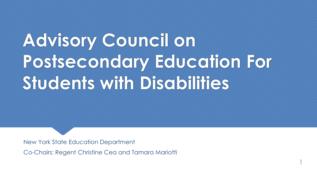# **Advisory Council on Postsecondary Education For Students with Disabilities**

1

New York State Education Department

Co-Chairs: Regent Christine Cea and Tamara Mariotti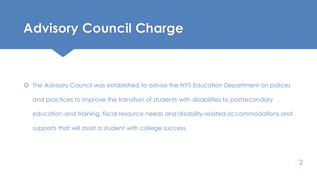# **Advisory Council Charge**

 The Advisory Council was established to advise the NYS Education Department on polices and practices to improve the transition of students with disabilities to postsecondary education and training, fiscal resource needs and disability-related accommodations and supports that will assist a student with college success.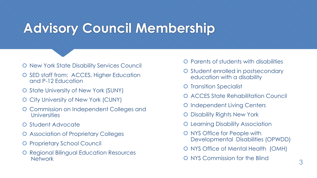## **Advisory Council Membership**

- **O** New York State Disability Services Council
- O SED staff from: ACCES, Higher Education and P-12 Education
- O State University of New York (SUNY)
- O City University of New York (CUNY)
- Commission on Independent Colleges and **Universities**
- O Student Advocate
- Association of Proprietary Colleges
- **O** Proprietary School Council
- **O** Regional Bilingual Education Resources **Network**
- **O** Parents of students with disabilities
- **O** Student enrolled in postsecondary education with a disability
- **O** Transition Specialist
- **O ACCES State Rehabilitation Council**
- **O** Independent Living Centers
- Disability Rights New York
- **O** Learning Disability Association
- O NYS Office for People with Developmental Disabilities (OPWDD)
- O NYS Office of Mental Health (OMH)
- O NYS Commission for the Blind 3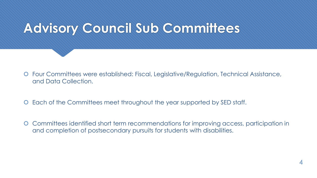## **Advisory Council Sub Committees**

- Four Committees were established: Fiscal, Legislative/Regulation, Technical Assistance, and Data Collection.
- Each of the Committees meet throughout the year supported by SED staff.
- Committees identified short term recommendations for improving access, participation in and completion of postsecondary pursuits for students with disabilities.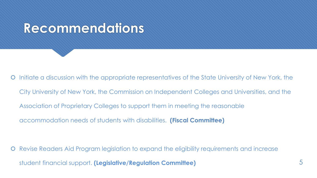#### **Recommendations**

 Initiate a discussion with the appropriate representatives of the State University of New York, the City University of New York, the Commission on Independent Colleges and Universities, and the Association of Proprietary Colleges to support them in meeting the reasonable accommodation needs of students with disabilities. **(Fiscal Committee)**

 Revise Readers Aid Program legislation to expand the eligibility requirements and increase student financial support. **(Legislative/Regulation Committee)** 5